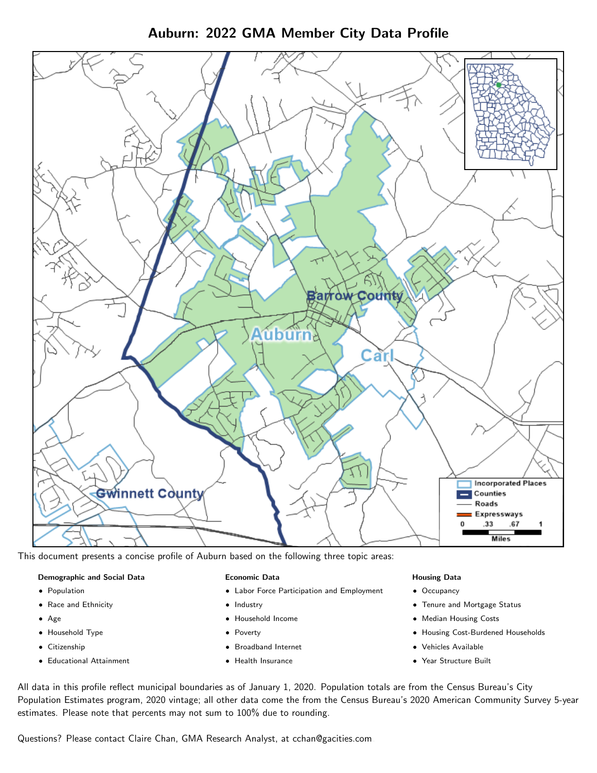Auburn: 2022 GMA Member City Data Profile



This document presents a concise profile of Auburn based on the following three topic areas:

# Demographic and Social Data

- **•** Population
- Race and Ethnicity
- Age
- Household Type
- **Citizenship**
- Educational Attainment

## Economic Data

- Labor Force Participation and Employment
- Industry
- Household Income
- Poverty
- Broadband Internet
- Health Insurance

## Housing Data

- Occupancy
- Tenure and Mortgage Status
- Median Housing Costs
- Housing Cost-Burdened Households
- Vehicles Available
- Year Structure Built

All data in this profile reflect municipal boundaries as of January 1, 2020. Population totals are from the Census Bureau's City Population Estimates program, 2020 vintage; all other data come the from the Census Bureau's 2020 American Community Survey 5-year estimates. Please note that percents may not sum to 100% due to rounding.

Questions? Please contact Claire Chan, GMA Research Analyst, at [cchan@gacities.com.](mailto:cchan@gacities.com)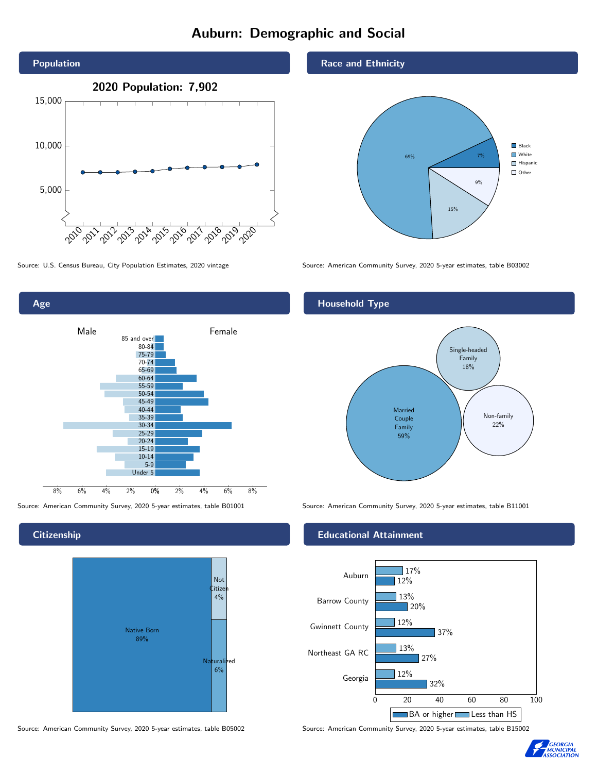# Auburn: Demographic and Social



0% 2% 4% 6% 8% Male **Female** 8% 6% 4% 2% 85 and over 80-84 75-79 70-74 65-69 60-64 55-59 50-54 45-49 40-44 35-39 30-34 25-29 20-24 15-19 10-14 5-9 Under 5

**Citizenship** 

Age



Source: American Community Survey, 2020 5-year estimates, table B05002 Source: American Community Survey, 2020 5-year estimates, table B15002

Race and Ethnicity



Source: U.S. Census Bureau, City Population Estimates, 2020 vintage Source: American Community Survey, 2020 5-year estimates, table B03002

# Household Type



Source: American Community Survey, 2020 5-year estimates, table B01001 Source: American Community Survey, 2020 5-year estimates, table B11001

## Educational Attainment



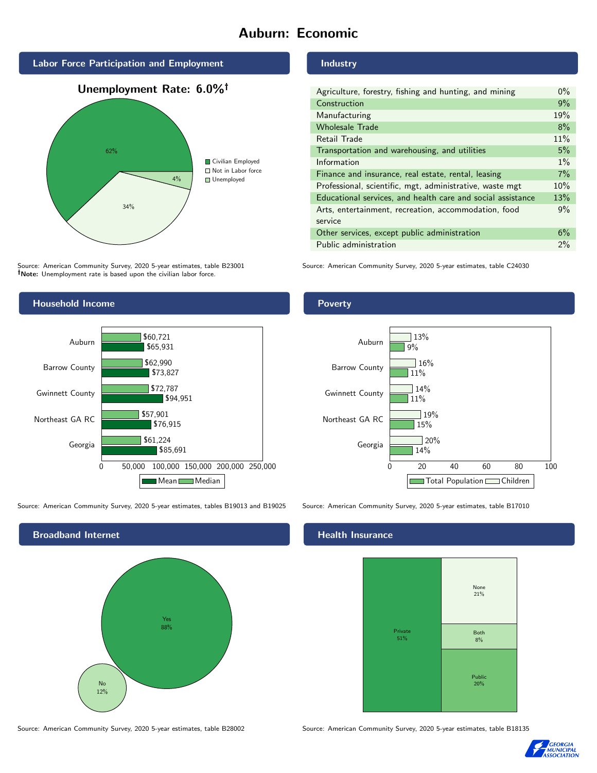# Auburn: Economic





Source: American Community Survey, 2020 5-year estimates, table B23001 Note: Unemployment rate is based upon the civilian labor force.



Source: American Community Survey, 2020 5-year estimates, tables B19013 and B19025 Source: American Community Survey, 2020 5-year estimates, table B17010



#### Industry

| Agriculture, forestry, fishing and hunting, and mining      | $0\%$ |
|-------------------------------------------------------------|-------|
| Construction                                                | 9%    |
| Manufacturing                                               | 19%   |
| <b>Wholesale Trade</b>                                      | 8%    |
| Retail Trade                                                | 11%   |
| Transportation and warehousing, and utilities               | 5%    |
| Information                                                 | $1\%$ |
| Finance and insurance, real estate, rental, leasing         | 7%    |
| Professional, scientific, mgt, administrative, waste mgt    | 10%   |
| Educational services, and health care and social assistance | 13%   |
| Arts, entertainment, recreation, accommodation, food        | 9%    |
| service                                                     |       |
| Other services, except public administration                | 6%    |
| Public administration                                       | 2%    |

Source: American Community Survey, 2020 5-year estimates, table C24030

## Poverty



## Health Insurance



Source: American Community Survey, 2020 5-year estimates, table B28002 Source: American Community Survey, 2020 5-year estimates, table B18135